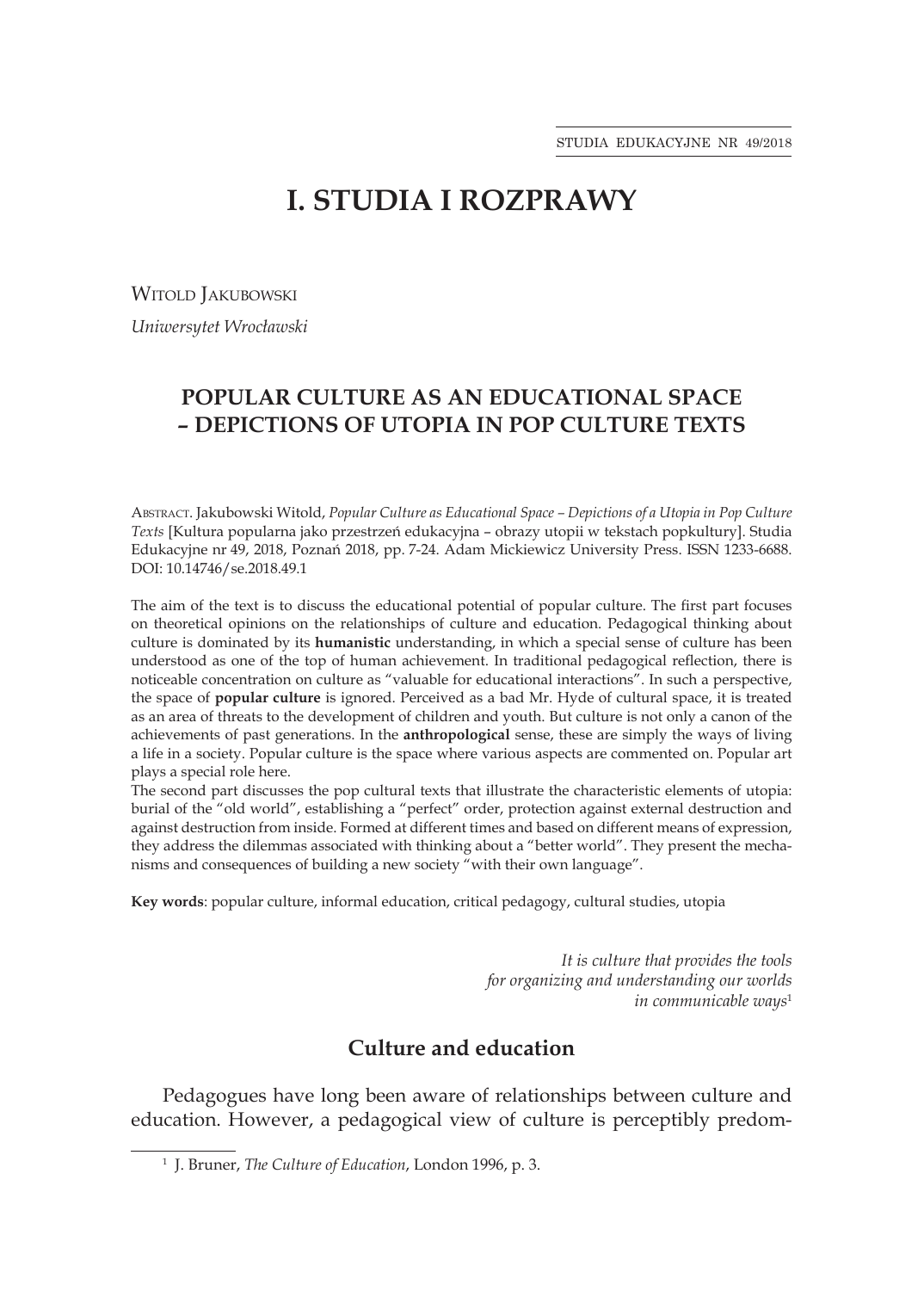# **I. STUDIA I ROZPRAWY**

WITOLD **JAKUBOWSKI** 

*Uniwersytet Wrocławski*

## **POPULAR CULTURE AS AN EDUCATIONAL SPACE – DEPICTIONS OF UTOPIA IN POP CULTURE TEXTS**

Abstract. Jakubowski Witold, *Popular Culture as Educational Space – Depictions of a Utopia in Pop Culture Texts* [Kultura popularna jako przestrzeń edukacyjna – obrazy utopii w tekstach popkultury]. Studia Edukacyjne nr 49, 2018, Poznań 2018, pp. 7-24. Adam Mickiewicz University Press. ISSN 1233-6688. DOI: 10.14746/se.2018.49.1

The aim of the text is to discuss the educational potential of popular culture. The first part focuses on theoretical opinions on the relationships of culture and education. Pedagogical thinking about culture is dominated by its **humanistic** understanding, in which a special sense of culture has been understood as one of the top of human achievement. In traditional pedagogical reflection, there is noticeable concentration on culture as "valuable for educational interactions". In such a perspective, the space of **popular culture** is ignored. Perceived as a bad Mr. Hyde of cultural space, it is treated as an area of threats to the development of children and youth. But culture is not only a canon of the achievements of past generations. In the **anthropological** sense, these are simply the ways of living a life in a society. Popular culture is the space where various aspects are commented on. Popular art plays a special role here.

The second part discusses the pop cultural texts that illustrate the characteristic elements of utopia: burial of the "old world", establishing a "perfect" order, protection against external destruction and against destruction from inside. Formed at different times and based on different means of expression, they address the dilemmas associated with thinking about a "better world". They present the mechanisms and consequences of building a new society "with their own language".

**Key words**: popular culture, informal education, critical pedagogy, cultural studies, utopia

*It is culture that provides the tools for organizing and understanding our worlds in communicable ways*<sup>1</sup>

## **Culture and education**

Pedagogues have long been aware of relationships between culture and education. However, a pedagogical view of culture is perceptibly predom-

<sup>1</sup> J. Bruner, *The Culture of Education*, London 1996, p. 3.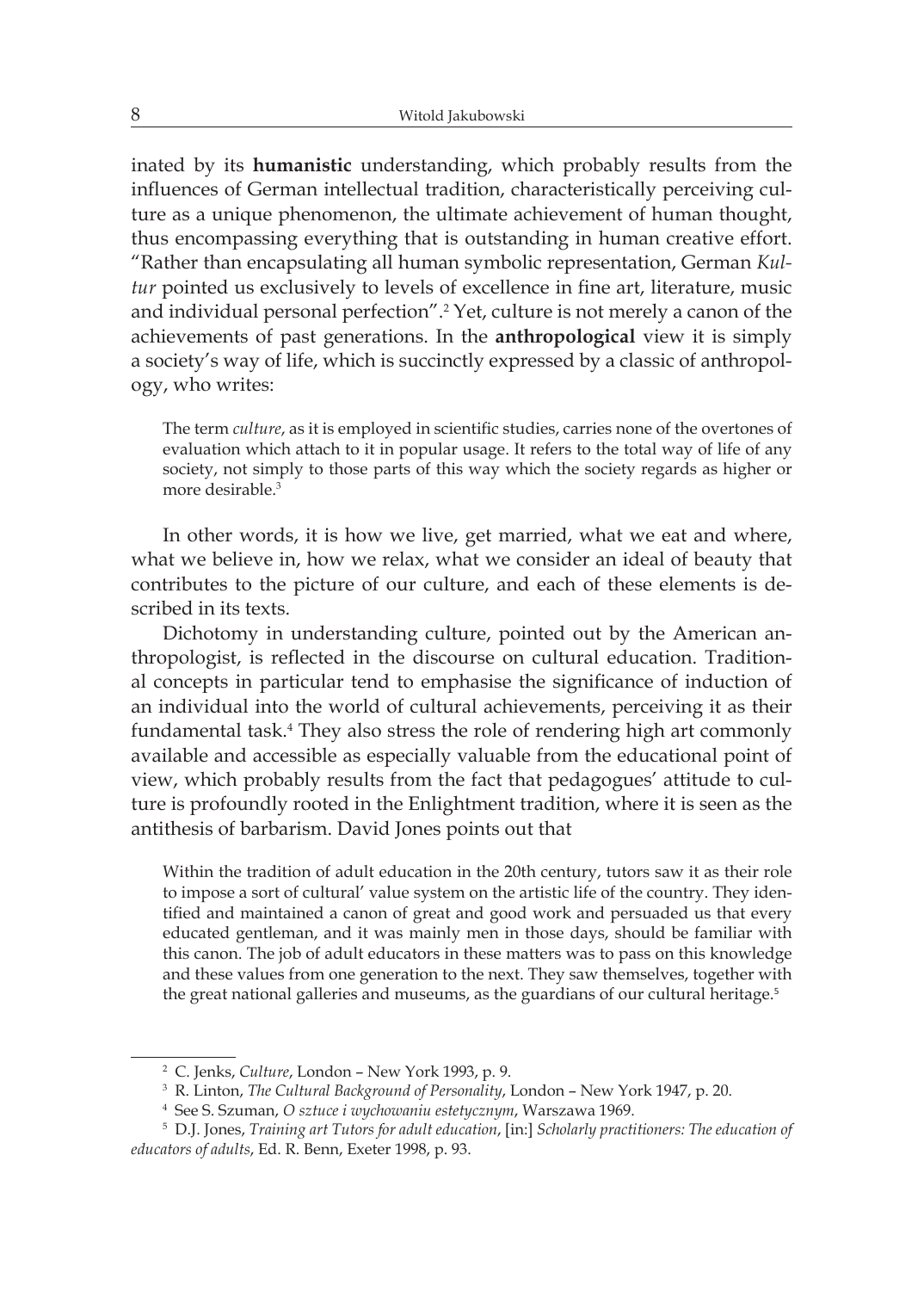inated by its **humanistic** understanding, which probably results from the influences of German intellectual tradition, characteristically perceiving culture as a unique phenomenon, the ultimate achievement of human thought, thus encompassing everything that is outstanding in human creative effort. "Rather than encapsulating all human symbolic representation, German *Kultur* pointed us exclusively to levels of excellence in fine art, literature, music and individual personal perfection".<sup>2</sup> Yet, culture is not merely a canon of the achievements of past generations. In the **anthropological** view it is simply a society's way of life, which is succinctly expressed by a classic of anthropology, who writes:

The term *culture*, as it is employed in scientific studies, carries none of the overtones of evaluation which attach to it in popular usage. It refers to the total way of life of any society, not simply to those parts of this way which the society regards as higher or more desirable.<sup>3</sup>

In other words, it is how we live, get married, what we eat and where, what we believe in, how we relax, what we consider an ideal of beauty that contributes to the picture of our culture, and each of these elements is described in its texts.

Dichotomy in understanding culture, pointed out by the American anthropologist, is reflected in the discourse on cultural education. Traditional concepts in particular tend to emphasise the significance of induction of an individual into the world of cultural achievements, perceiving it as their fundamental task.<sup>4</sup> They also stress the role of rendering high art commonly available and accessible as especially valuable from the educational point of view, which probably results from the fact that pedagogues' attitude to culture is profoundly rooted in the Enlightment tradition, where it is seen as the antithesis of barbarism. David Jones points out that

Within the tradition of adult education in the 20th century, tutors saw it as their role to impose a sort of cultural' value system on the artistic life of the country. They identified and maintained a canon of great and good work and persuaded us that every educated gentleman, and it was mainly men in those days, should be familiar with this canon. The job of adult educators in these matters was to pass on this knowledge and these values from one generation to the next. They saw themselves, together with the great national galleries and museums, as the guardians of our cultural heritage.<sup>5</sup>

<sup>2</sup> C. Jenks, *Culture*, London – New York 1993, p. 9.

<sup>3</sup> R. Linton, *The Cultural Background of Personality*, London – New York 1947, p. 20.

<sup>4</sup> See S. Szuman, *O sztuce i wychowaniu estetycznym*, Warszawa 1969.

<sup>5</sup> D.J. Jones, *Training art Tutors for adult education*, [in:] *Scholarly practitioners: The education of educators of adults*, Ed. R. Benn, Exeter 1998, p. 93.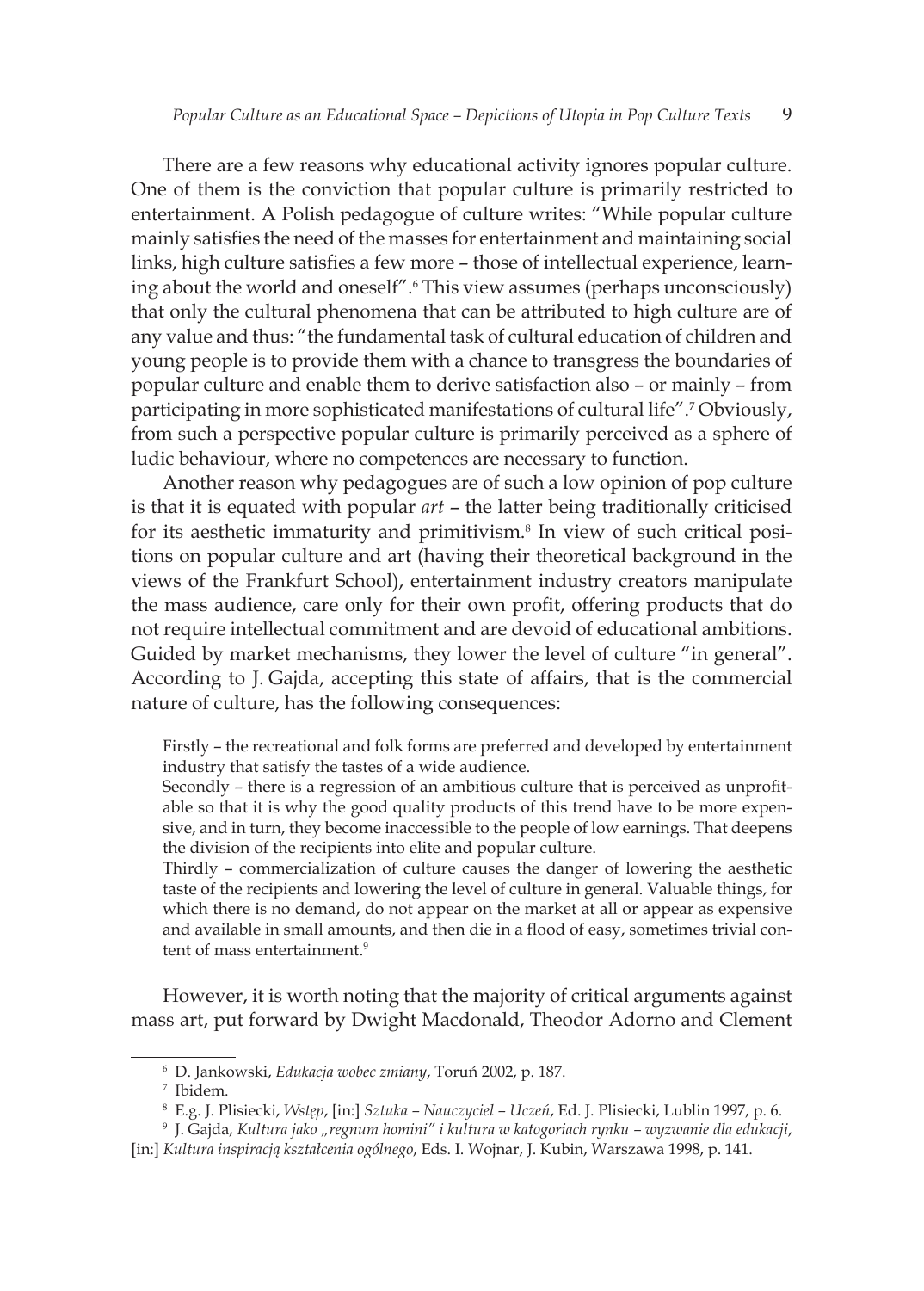There are a few reasons why educational activity ignores popular culture. One of them is the conviction that popular culture is primarily restricted to entertainment. A Polish pedagogue of culture writes: "While popular culture mainly satisfies the need of the masses for entertainment and maintaining social links, high culture satisfies a few more – those of intellectual experience, learning about the world and oneself".<sup>6</sup> This view assumes (perhaps unconsciously) that only the cultural phenomena that can be attributed to high culture are of any value and thus: "the fundamental task of cultural education of children and young people is to provide them with a chance to transgress the boundaries of popular culture and enable them to derive satisfaction also – or mainly – from participating in more sophisticated manifestations of cultural life".<sup>7</sup> Obviously, from such a perspective popular culture is primarily perceived as a sphere of ludic behaviour, where no competences are necessary to function.

Another reason why pedagogues are of such a low opinion of pop culture is that it is equated with popular *art* – the latter being traditionally criticised for its aesthetic immaturity and primitivism.<sup>8</sup> In view of such critical positions on popular culture and art (having their theoretical background in the views of the Frankfurt School), entertainment industry creators manipulate the mass audience, care only for their own profit, offering products that do not require intellectual commitment and are devoid of educational ambitions. Guided by market mechanisms, they lower the level of culture "in general". According to J. Gajda, accepting this state of affairs, that is the commercial nature of culture, has the following consequences:

Firstly – the recreational and folk forms are preferred and developed by entertainment industry that satisfy the tastes of a wide audience.

Secondly – there is a regression of an ambitious culture that is perceived as unprofitable so that it is why the good quality products of this trend have to be more expensive, and in turn, they become inaccessible to the people of low earnings. That deepens the division of the recipients into elite and popular culture.

Thirdly – commercialization of culture causes the danger of lowering the aesthetic taste of the recipients and lowering the level of culture in general. Valuable things, for which there is no demand, do not appear on the market at all or appear as expensive and available in small amounts, and then die in a flood of easy, sometimes trivial content of mass entertainment.<sup>9</sup>

However, it is worth noting that the majority of critical arguments against mass art, put forward by Dwight Macdonald, Theodor Adorno and Clement

<sup>6</sup> D. Jankowski, *Edukacja wobec zmiany*, Toruń 2002, p. 187.

<sup>7</sup> Ibidem.

<sup>8</sup> E.g. J. Plisiecki, *Wstęp*, [in:] *Sztuka – Nauczyciel – Uczeń*, Ed. J. Plisiecki, Lublin 1997, p. 6.

<sup>9</sup> J. Gajda, *Kultura jako "regnum homini" i kultura w katogoriach rynku – wyzwanie dla edukacji*, [in:] *Kultura inspiracją kształcenia ogólnego*, Eds. I. Wojnar, J. Kubin, Warszawa 1998, p. 141.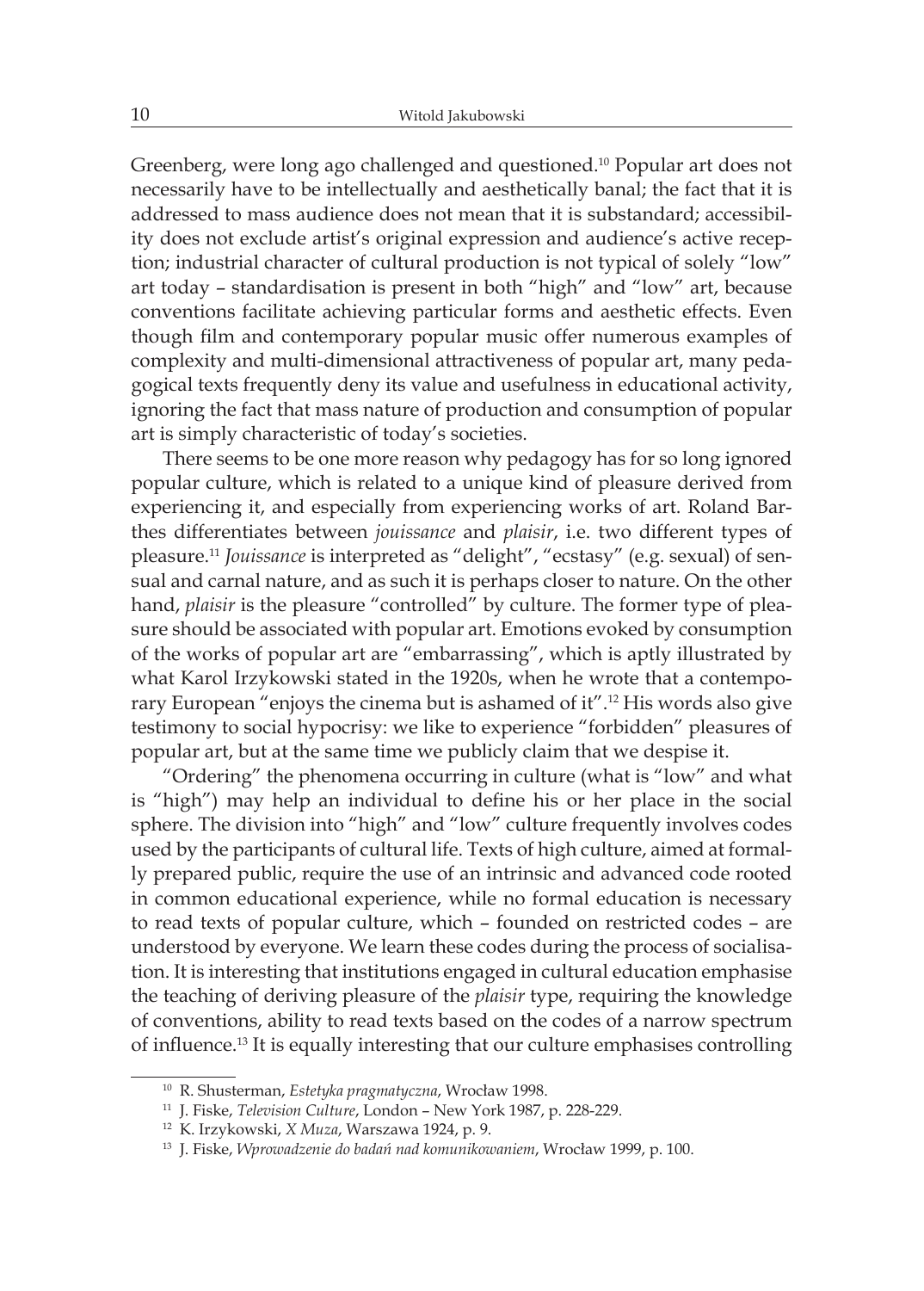Greenberg, were long ago challenged and questioned.10 Popular art does not necessarily have to be intellectually and aesthetically banal; the fact that it is addressed to mass audience does not mean that it is substandard; accessibility does not exclude artist's original expression and audience's active reception; industrial character of cultural production is not typical of solely "low" art today – standardisation is present in both "high" and "low" art, because conventions facilitate achieving particular forms and aesthetic effects. Even though film and contemporary popular music offer numerous examples of complexity and multi-dimensional attractiveness of popular art, many pedagogical texts frequently deny its value and usefulness in educational activity, ignoring the fact that mass nature of production and consumption of popular art is simply characteristic of today's societies.

There seems to be one more reason why pedagogy has for so long ignored popular culture, which is related to a unique kind of pleasure derived from experiencing it, and especially from experiencing works of art. Roland Barthes differentiates between *jouissance* and *plaisir*, i.e. two different types of pleasure.<sup>11</sup> *Jouissance* is interpreted as "delight", "ecstasy" (e.g. sexual) of sensual and carnal nature, and as such it is perhaps closer to nature. On the other hand, *plaisir* is the pleasure "controlled" by culture. The former type of pleasure should be associated with popular art. Emotions evoked by consumption of the works of popular art are "embarrassing", which is aptly illustrated by what Karol Irzykowski stated in the 1920s, when he wrote that a contemporary European "enjoys the cinema but is ashamed of it".12 His words also give testimony to social hypocrisy: we like to experience "forbidden" pleasures of popular art, but at the same time we publicly claim that we despise it.

"Ordering" the phenomena occurring in culture (what is "low" and what is "high") may help an individual to define his or her place in the social sphere. The division into "high" and "low" culture frequently involves codes used by the participants of cultural life. Texts of high culture, aimed at formally prepared public, require the use of an intrinsic and advanced code rooted in common educational experience, while no formal education is necessary to read texts of popular culture, which – founded on restricted codes – are understood by everyone. We learn these codes during the process of socialisation. It is interesting that institutions engaged in cultural education emphasise the teaching of deriving pleasure of the *plaisir* type, requiring the knowledge of conventions, ability to read texts based on the codes of a narrow spectrum of influence.13 It is equally interesting that our culture emphasises controlling

<sup>10</sup> R. Shusterman, *Estetyka pragmatyczna*, Wrocław 1998.

<sup>11</sup> J. Fiske, *Television Culture*, London – New York 1987, p. 228-229.

<sup>12</sup> K. Irzykowski, *X Muza*, Warszawa 1924, p. 9.

<sup>13</sup> J. Fiske, *Wprowadzenie do badań nad komunikowaniem*, Wrocław 1999, p. 100.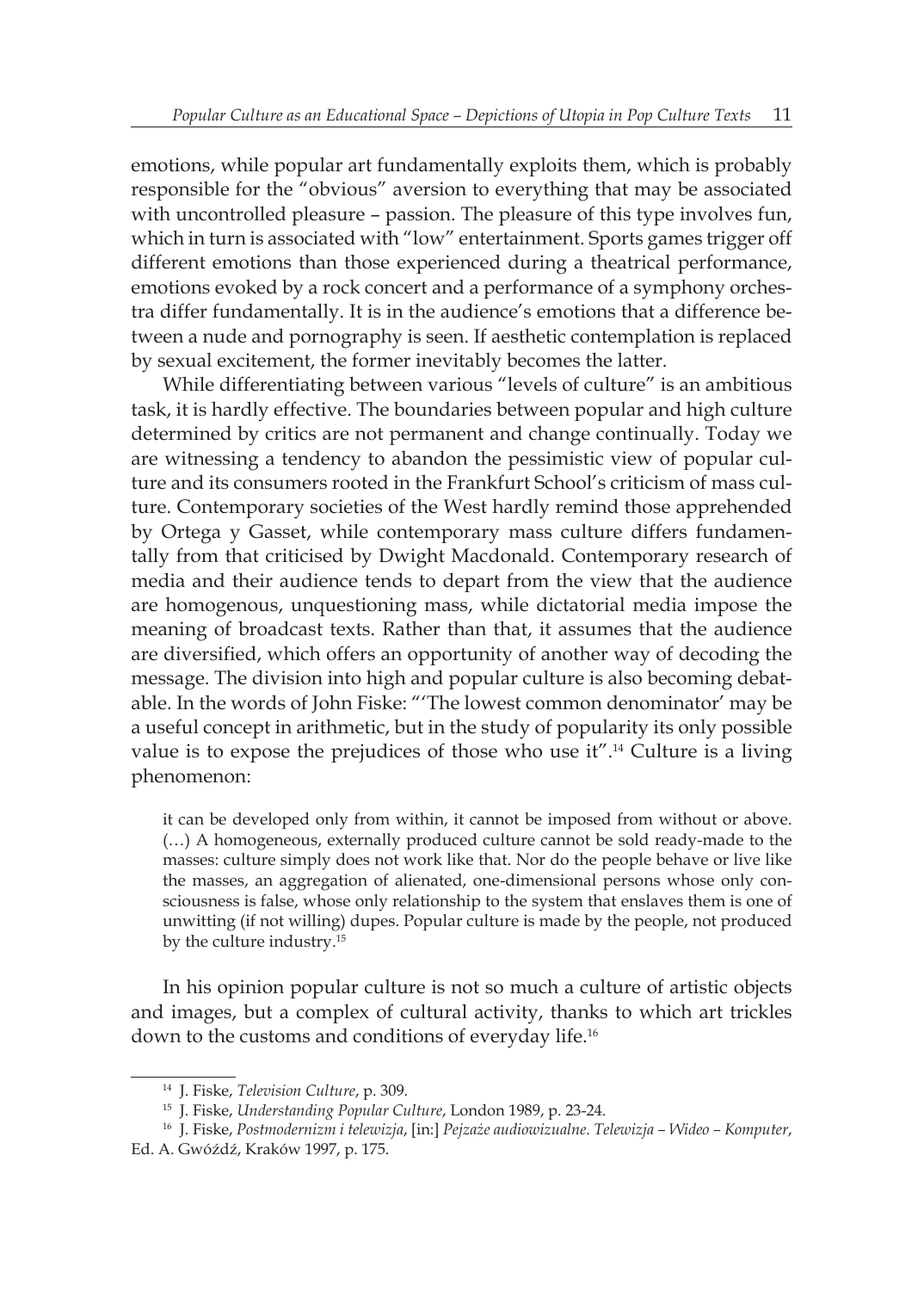emotions, while popular art fundamentally exploits them, which is probably responsible for the "obvious" aversion to everything that may be associated with uncontrolled pleasure – passion. The pleasure of this type involves fun, which in turn is associated with "low" entertainment. Sports games trigger off different emotions than those experienced during a theatrical performance, emotions evoked by a rock concert and a performance of a symphony orchestra differ fundamentally. It is in the audience's emotions that a difference between a nude and pornography is seen. If aesthetic contemplation is replaced by sexual excitement, the former inevitably becomes the latter.

While differentiating between various "levels of culture" is an ambitious task, it is hardly effective. The boundaries between popular and high culture determined by critics are not permanent and change continually. Today we are witnessing a tendency to abandon the pessimistic view of popular culture and its consumers rooted in the Frankfurt School's criticism of mass culture. Contemporary societies of the West hardly remind those apprehended by Ortega y Gasset, while contemporary mass culture differs fundamentally from that criticised by Dwight Macdonald. Contemporary research of media and their audience tends to depart from the view that the audience are homogenous, unquestioning mass, while dictatorial media impose the meaning of broadcast texts. Rather than that, it assumes that the audience are diversified, which offers an opportunity of another way of decoding the message. The division into high and popular culture is also becoming debatable. In the words of John Fiske: "'The lowest common denominator' may be a useful concept in arithmetic, but in the study of popularity its only possible value is to expose the prejudices of those who use it".14 Culture is a living phenomenon:

it can be developed only from within, it cannot be imposed from without or above. (…) A homogeneous, externally produced culture cannot be sold ready-made to the masses: culture simply does not work like that. Nor do the people behave or live like the masses, an aggregation of alienated, one-dimensional persons whose only consciousness is false, whose only relationship to the system that enslaves them is one of unwitting (if not willing) dupes. Popular culture is made by the people, not produced by the culture industry.<sup>15</sup>

In his opinion popular culture is not so much a culture of artistic objects and images, but a complex of cultural activity, thanks to which art trickles down to the customs and conditions of everyday life.<sup>16</sup>

<sup>14</sup> J. Fiske, *Television Culture*, p. 309.

<sup>15</sup> J. Fiske, *Understanding Popular Culture*, London 1989, p. 23-24.

<sup>16</sup> J. Fiske, *Postmodernizm i telewizja*, [in:] *Pejzaże audiowizualne*. *Telewizja – Wideo – Komputer*, Ed. A. Gwóźdź, Kraków 1997, p. 175.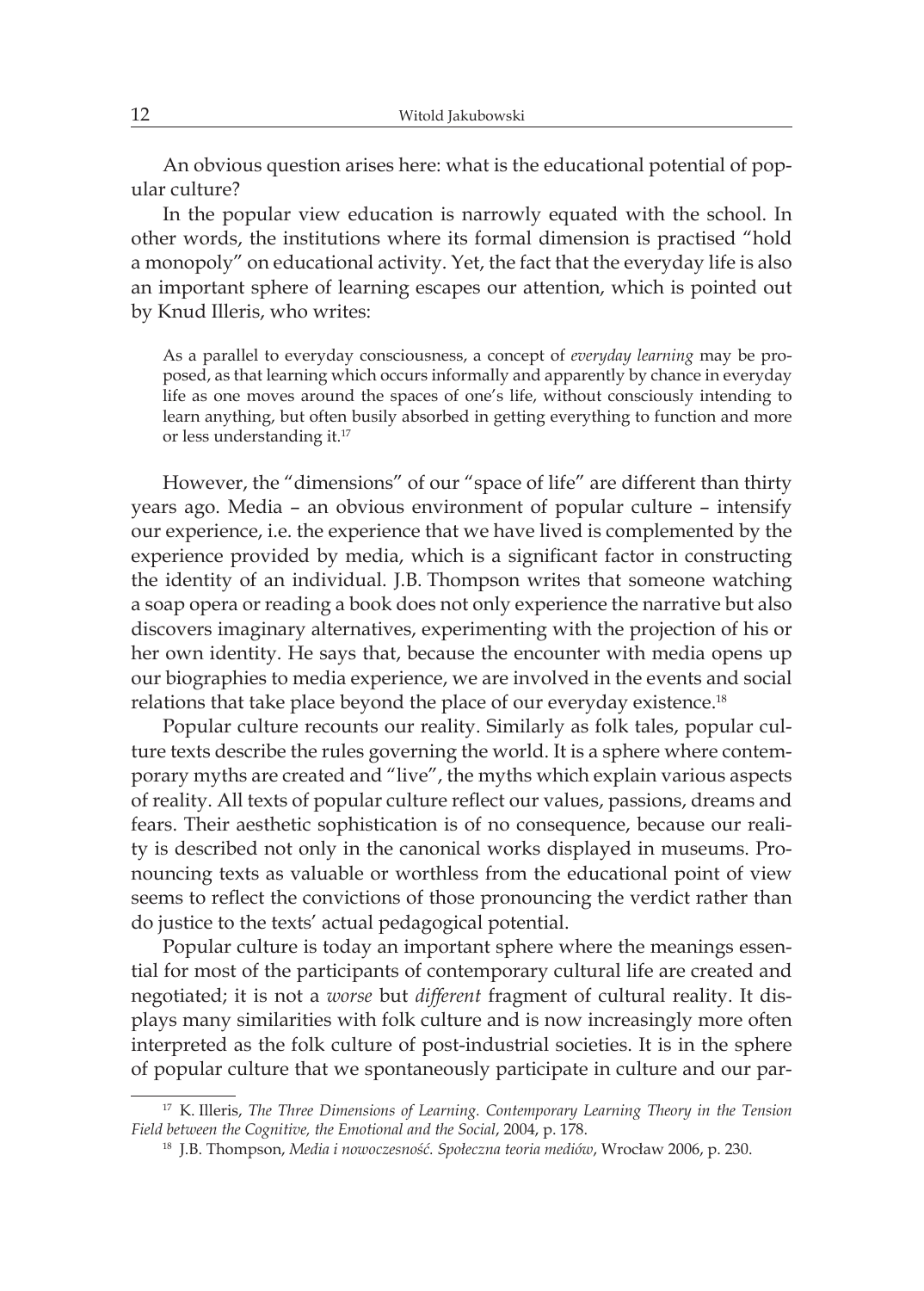An obvious question arises here: what is the educational potential of popular culture?

In the popular view education is narrowly equated with the school. In other words, the institutions where its formal dimension is practised "hold a monopoly" on educational activity. Yet, the fact that the everyday life is also an important sphere of learning escapes our attention, which is pointed out by Knud Illeris, who writes:

As a parallel to everyday consciousness, a concept of *everyday learning* may be proposed, as that learning which occurs informally and apparently by chance in everyday life as one moves around the spaces of one's life, without consciously intending to learn anything, but often busily absorbed in getting everything to function and more or less understanding it.<sup>17</sup>

However, the "dimensions" of our "space of life" are different than thirty years ago. Media – an obvious environment of popular culture – intensify our experience, i.e. the experience that we have lived is complemented by the experience provided by media, which is a significant factor in constructing the identity of an individual. J.B. Thompson writes that someone watching a soap opera or reading a book does not only experience the narrative but also discovers imaginary alternatives, experimenting with the projection of his or her own identity. He says that, because the encounter with media opens up our biographies to media experience, we are involved in the events and social relations that take place beyond the place of our everyday existence.<sup>18</sup>

Popular culture recounts our reality. Similarly as folk tales, popular culture texts describe the rules governing the world. It is a sphere where contemporary myths are created and "live", the myths which explain various aspects of reality. All texts of popular culture reflect our values, passions, dreams and fears. Their aesthetic sophistication is of no consequence, because our reality is described not only in the canonical works displayed in museums. Pronouncing texts as valuable or worthless from the educational point of view seems to reflect the convictions of those pronouncing the verdict rather than do justice to the texts' actual pedagogical potential.

Popular culture is today an important sphere where the meanings essential for most of the participants of contemporary cultural life are created and negotiated; it is not a *worse* but *different* fragment of cultural reality. It displays many similarities with folk culture and is now increasingly more often interpreted as the folk culture of post-industrial societies. It is in the sphere of popular culture that we spontaneously participate in culture and our par-

<sup>17</sup> K. Illeris, *The Three Dimensions of Learning. Contemporary Learning Theory in the Tension Field between the Cognitive, the Emotional and the Social*, 2004, p. 178.

<sup>18</sup> J.B. Thompson, *Media i nowoczesność. Społeczna teoria mediów*, Wrocław 2006, p. 230.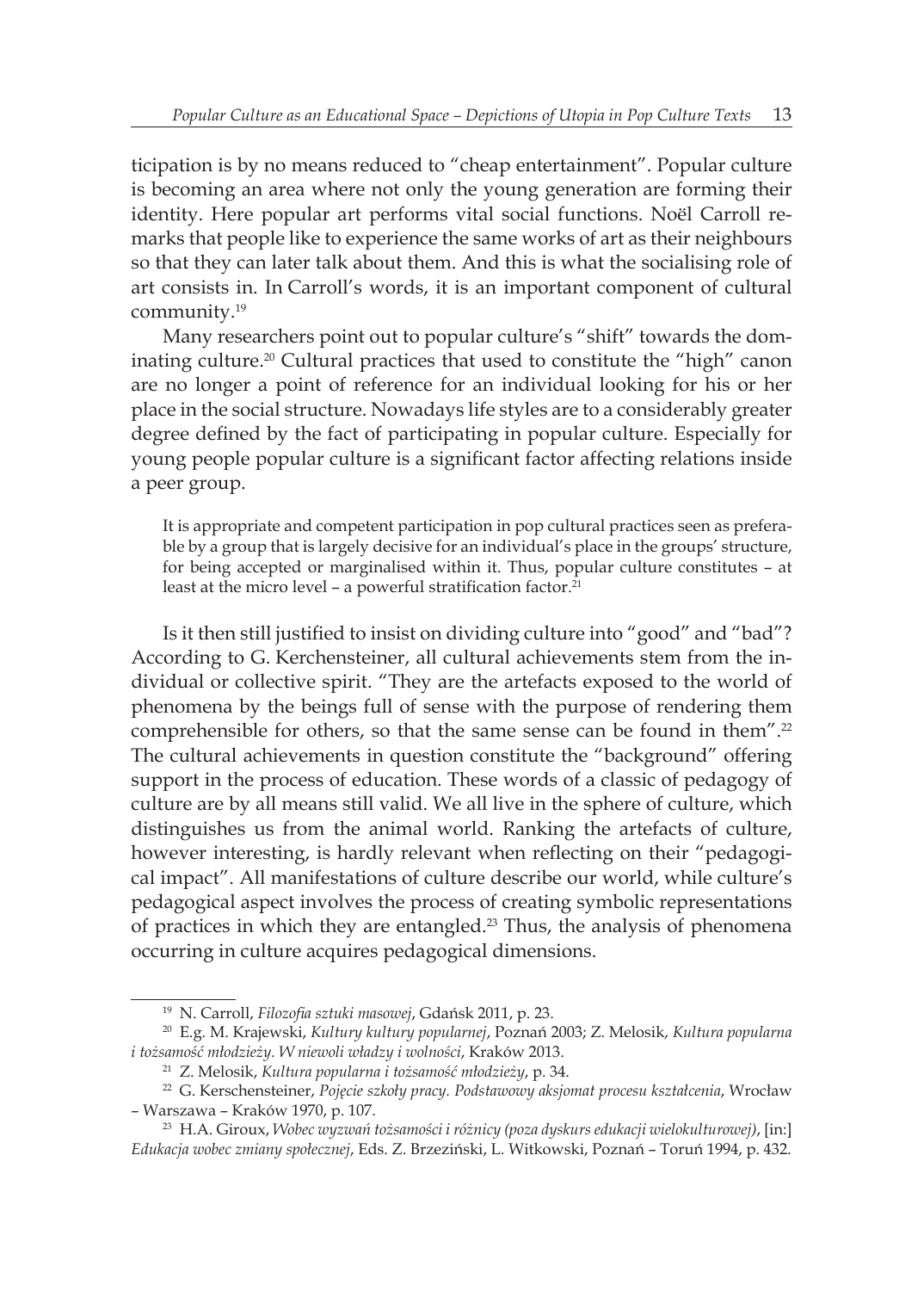ticipation is by no means reduced to "cheap entertainment". Popular culture is becoming an area where not only the young generation are forming their identity. Here popular art performs vital social functions. Noël Carroll remarks that people like to experience the same works of art as their neighbours so that they can later talk about them. And this is what the socialising role of art consists in. In Carroll's words, it is an important component of cultural community.<sup>19</sup>

Many researchers point out to popular culture's "shift" towards the dominating culture.<sup>20</sup> Cultural practices that used to constitute the "high" canon are no longer a point of reference for an individual looking for his or her place in the social structure. Nowadays life styles are to a considerably greater degree defined by the fact of participating in popular culture. Especially for young people popular culture is a significant factor affecting relations inside a peer group.

It is appropriate and competent participation in pop cultural practices seen as preferable by a group that is largely decisive for an individual's place in the groups' structure, for being accepted or marginalised within it. Thus, popular culture constitutes – at least at the micro level - a powerful stratification factor.<sup>21</sup>

Is it then still justified to insist on dividing culture into "good" and "bad"? According to G. Kerchensteiner, all cultural achievements stem from the individual or collective spirit. "They are the artefacts exposed to the world of phenomena by the beings full of sense with the purpose of rendering them comprehensible for others, so that the same sense can be found in them".<sup>22</sup> The cultural achievements in question constitute the "background" offering support in the process of education. These words of a classic of pedagogy of culture are by all means still valid. We all live in the sphere of culture, which distinguishes us from the animal world. Ranking the artefacts of culture, however interesting, is hardly relevant when reflecting on their "pedagogical impact". All manifestations of culture describe our world, while culture's pedagogical aspect involves the process of creating symbolic representations of practices in which they are entangled.<sup>23</sup> Thus, the analysis of phenomena occurring in culture acquires pedagogical dimensions.

<sup>19</sup> N. Carroll, *Filozofia sztuki masowej*, Gdańsk 2011, p. 23.

<sup>20</sup> E.g. M. Krajewski, *Kultury kultury popularnej*, Poznań 2003; Z. Melosik, *Kultura popularna i tożsamość młodzieży. W niewoli władzy i wolności*, Kraków 2013.

<sup>21</sup> Z. Melosik, *Kultura popularna i tożsamość młodzieży*, p. 34.

<sup>22</sup> G. Kerschensteiner, *Pojęcie szkoły pracy. Podstawowy aksjomat procesu kształcenia*, Wrocław – Warszawa – Kraków 1970, p. 107.

<sup>23</sup> H.A. Giroux, *Wobec wyzwań tożsamości i różnicy (poza dyskurs edukacji wielokulturowej)*, [in:] *Edukacja wobec zmiany społecznej*, Eds. Z. Brzeziński, L. Witkowski, Poznań – Toruń 1994, p. 432.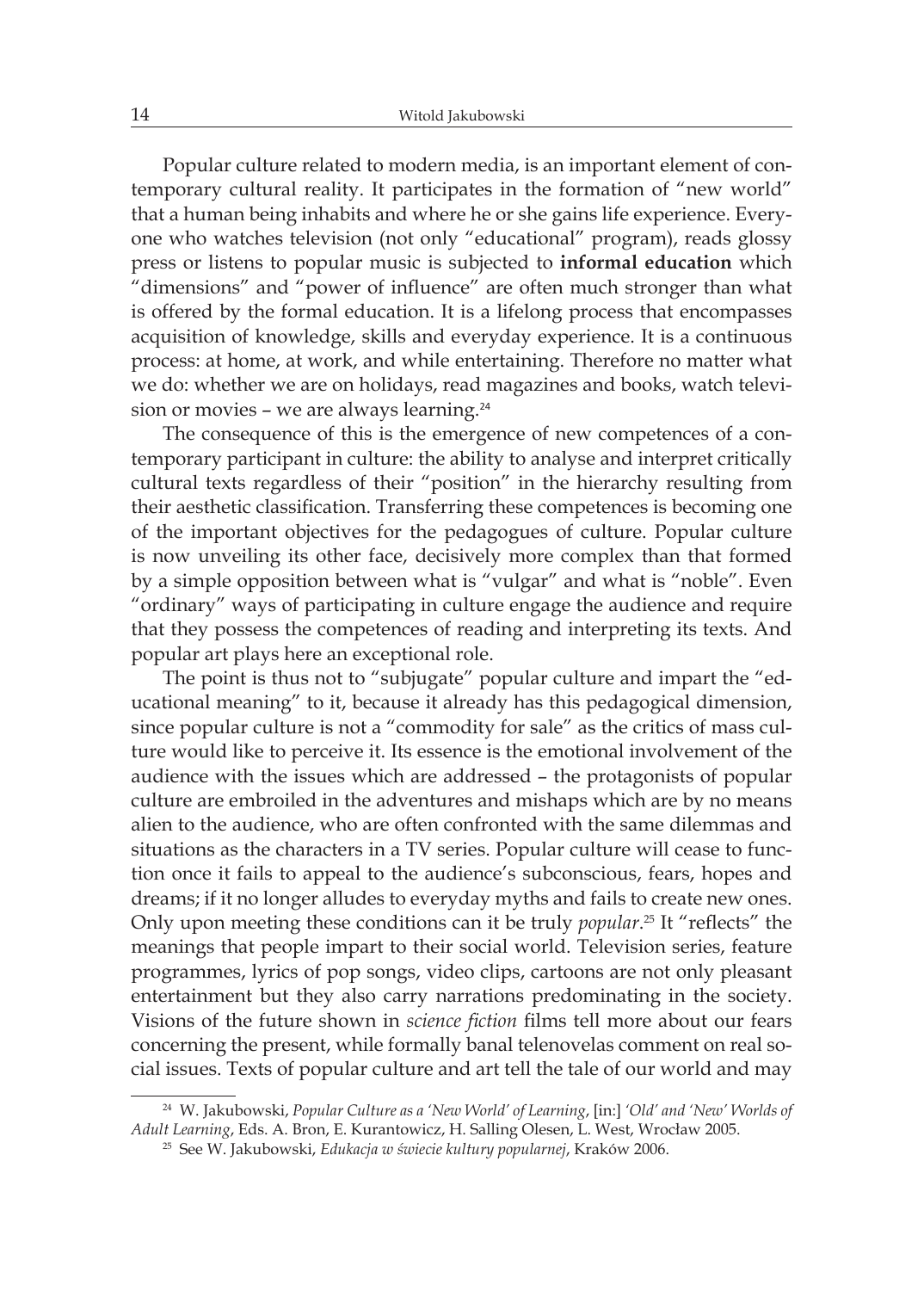Popular culture related to modern media, is an important element of contemporary cultural reality. It participates in the formation of "new world" that a human being inhabits and where he or she gains life experience. Everyone who watches television (not only "educational" program), reads glossy press or listens to popular music is subjected to **informal education** which "dimensions" and "power of influence" are often much stronger than what is offered by the formal education. It is a lifelong process that encompasses acquisition of knowledge, skills and everyday experience. It is a continuous process: at home, at work, and while entertaining. Therefore no matter what we do: whether we are on holidays, read magazines and books, watch television or movies - we are always learning.<sup>24</sup>

The consequence of this is the emergence of new competences of a contemporary participant in culture: the ability to analyse and interpret critically cultural texts regardless of their "position" in the hierarchy resulting from their aesthetic classification. Transferring these competences is becoming one of the important objectives for the pedagogues of culture. Popular culture is now unveiling its other face, decisively more complex than that formed by a simple opposition between what is "vulgar" and what is "noble". Even "ordinary" ways of participating in culture engage the audience and require that they possess the competences of reading and interpreting its texts. And popular art plays here an exceptional role.

The point is thus not to "subjugate" popular culture and impart the "educational meaning" to it, because it already has this pedagogical dimension, since popular culture is not a "commodity for sale" as the critics of mass culture would like to perceive it. Its essence is the emotional involvement of the audience with the issues which are addressed – the protagonists of popular culture are embroiled in the adventures and mishaps which are by no means alien to the audience, who are often confronted with the same dilemmas and situations as the characters in a TV series. Popular culture will cease to function once it fails to appeal to the audience's subconscious, fears, hopes and dreams; if it no longer alludes to everyday myths and fails to create new ones. Only upon meeting these conditions can it be truly *popular*. <sup>25</sup> It "reflects" the meanings that people impart to their social world. Television series, feature programmes, lyrics of pop songs, video clips, cartoons are not only pleasant entertainment but they also carry narrations predominating in the society. Visions of the future shown in *science fiction* films tell more about our fears concerning the present, while formally banal telenovelas comment on real social issues. Texts of popular culture and art tell the tale of our world and may

<sup>24</sup> W. Jakubowski, *Popular Culture as a 'New World' of Learning*, [in:] *'Old' and 'New' Worlds of Adult Learning*, Eds. A. Bron, E. Kurantowicz, H. Salling Olesen, L. West, Wrocław 2005.

<sup>25</sup> See W. Jakubowski, *Edukacja w świecie kultury popularnej*, Kraków 2006.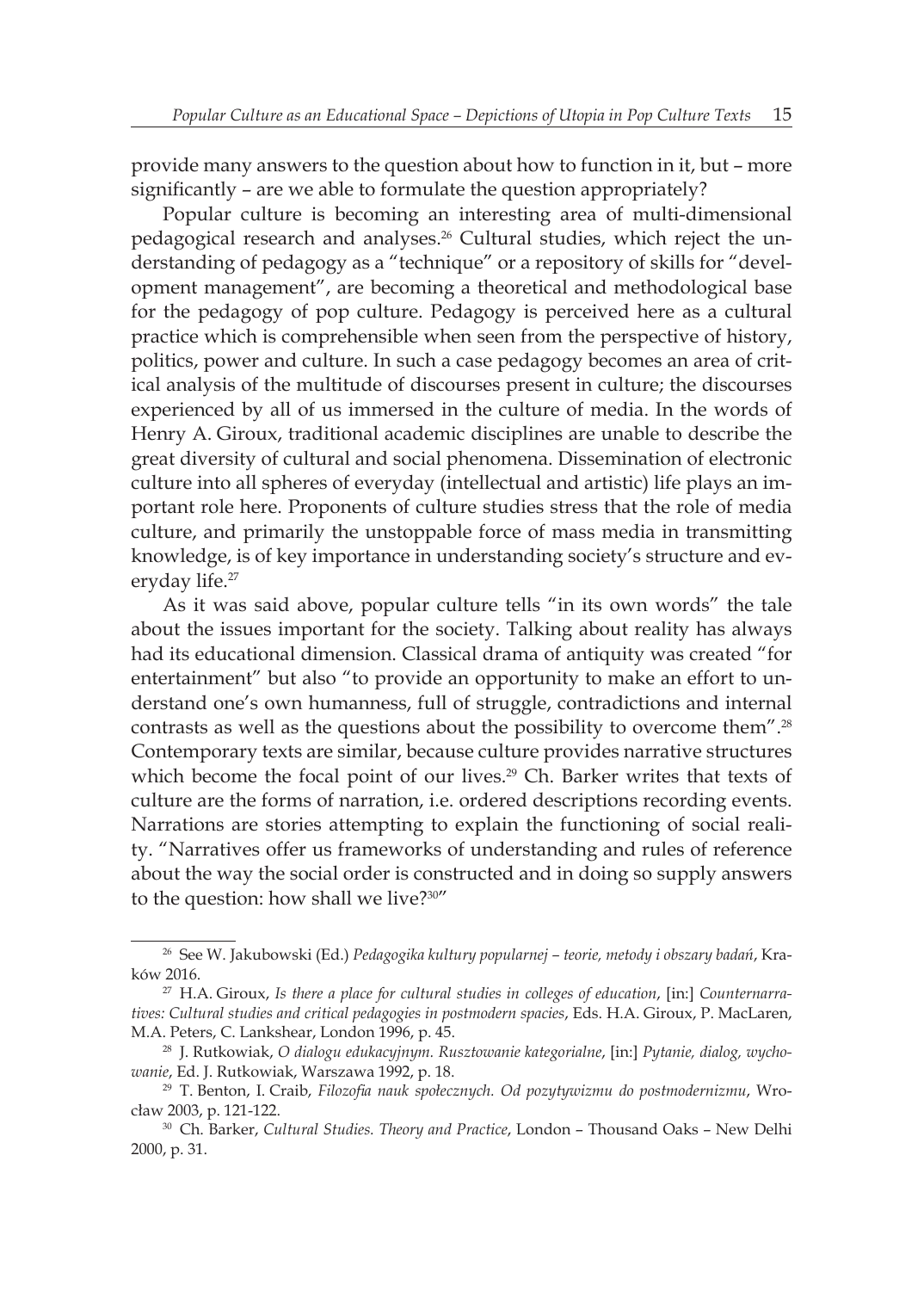provide many answers to the question about how to function in it, but – more significantly – are we able to formulate the question appropriately?

Popular culture is becoming an interesting area of multi-dimensional pedagogical research and analyses.26 Cultural studies, which reject the understanding of pedagogy as a "technique" or a repository of skills for "development management", are becoming a theoretical and methodological base for the pedagogy of pop culture. Pedagogy is perceived here as a cultural practice which is comprehensible when seen from the perspective of history, politics, power and culture. In such a case pedagogy becomes an area of critical analysis of the multitude of discourses present in culture; the discourses experienced by all of us immersed in the culture of media. In the words of Henry A. Giroux, traditional academic disciplines are unable to describe the great diversity of cultural and social phenomena. Dissemination of electronic culture into all spheres of everyday (intellectual and artistic) life plays an important role here. Proponents of culture studies stress that the role of media culture, and primarily the unstoppable force of mass media in transmitting knowledge, is of key importance in understanding society's structure and everyday life.<sup>27</sup>

As it was said above, popular culture tells "in its own words" the tale about the issues important for the society. Talking about reality has always had its educational dimension. Classical drama of antiquity was created "for entertainment" but also "to provide an opportunity to make an effort to understand one's own humanness, full of struggle, contradictions and internal contrasts as well as the questions about the possibility to overcome them".<sup>28</sup> Contemporary texts are similar, because culture provides narrative structures which become the focal point of our lives.<sup>29</sup> Ch. Barker writes that texts of culture are the forms of narration, i.e. ordered descriptions recording events. Narrations are stories attempting to explain the functioning of social reality. "Narratives offer us frameworks of understanding and rules of reference about the way the social order is constructed and in doing so supply answers to the question: how shall we live?<sup>30"</sup>

<sup>26</sup> See W. Jakubowski (Ed.) *Pedagogika kultury popularnej – teorie, metody i obszary badań*, Kraków 2016.

<sup>27</sup> H.A. Giroux, *Is there a place for cultural studies in colleges of education*, [in:] *Counternarratives: Cultural studies and critical pedagogies in postmodern spacies*, Eds. H.A. Giroux, P. MacLaren, M.A. Peters, C. Lankshear, London 1996, p. 45.

<sup>28</sup> J. Rutkowiak, *O dialogu edukacyjnym. Rusztowanie kategorialne*, [in:] *Pytanie, dialog, wychowanie*, Ed. J. Rutkowiak, Warszawa 1992, p. 18.

<sup>29</sup> T. Benton, I. Craib, *Filozofia nauk społecznych. Od pozytywizmu do postmodernizmu*, Wrocław 2003, p. 121-122.

<sup>30</sup> Ch. Barker, *Cultural Studies. Theory and Practice*, London – Thousand Oaks – New Delhi 2000, p. 31.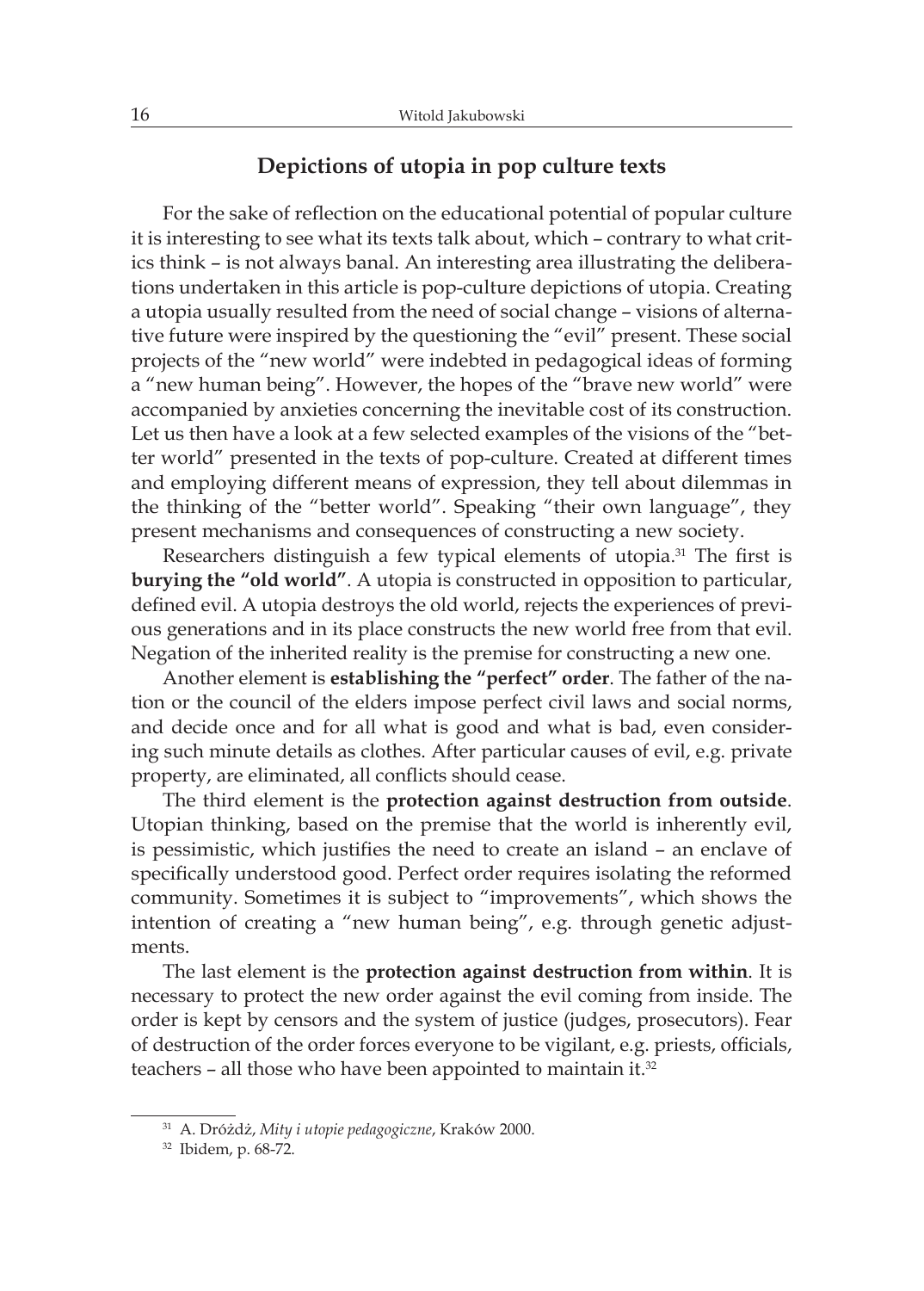#### **Depictions of utopia in pop culture texts**

For the sake of reflection on the educational potential of popular culture it is interesting to see what its texts talk about, which – contrary to what critics think – is not always banal. An interesting area illustrating the deliberations undertaken in this article is pop-culture depictions of utopia. Creating a utopia usually resulted from the need of social change – visions of alternative future were inspired by the questioning the "evil" present. These social projects of the "new world" were indebted in pedagogical ideas of forming a "new human being". However, the hopes of the "brave new world" were accompanied by anxieties concerning the inevitable cost of its construction. Let us then have a look at a few selected examples of the visions of the "better world" presented in the texts of pop-culture. Created at different times and employing different means of expression, they tell about dilemmas in the thinking of the "better world". Speaking "their own language", they present mechanisms and consequences of constructing a new society.

Researchers distinguish a few typical elements of utopia.<sup>31</sup> The first is **burying the "old world"**. A utopia is constructed in opposition to particular, defined evil. A utopia destroys the old world, rejects the experiences of previous generations and in its place constructs the new world free from that evil. Negation of the inherited reality is the premise for constructing a new one.

Another element is **establishing the "perfect" order**. The father of the nation or the council of the elders impose perfect civil laws and social norms, and decide once and for all what is good and what is bad, even considering such minute details as clothes. After particular causes of evil, e.g. private property, are eliminated, all conflicts should cease.

The third element is the **protection against destruction from outside**. Utopian thinking, based on the premise that the world is inherently evil, is pessimistic, which justifies the need to create an island – an enclave of specifically understood good. Perfect order requires isolating the reformed community. Sometimes it is subject to "improvements", which shows the intention of creating a "new human being", e.g. through genetic adjustments.

The last element is the **protection against destruction from within**. It is necessary to protect the new order against the evil coming from inside. The order is kept by censors and the system of justice (judges, prosecutors). Fear of destruction of the order forces everyone to be vigilant, e.g. priests, officials, teachers – all those who have been appointed to maintain it.<sup>32</sup>

<sup>31</sup> A. Dróżdż, *Mity i utopie pedagogiczne*, Kraków 2000.

<sup>32</sup> Ibidem, p. 68-72.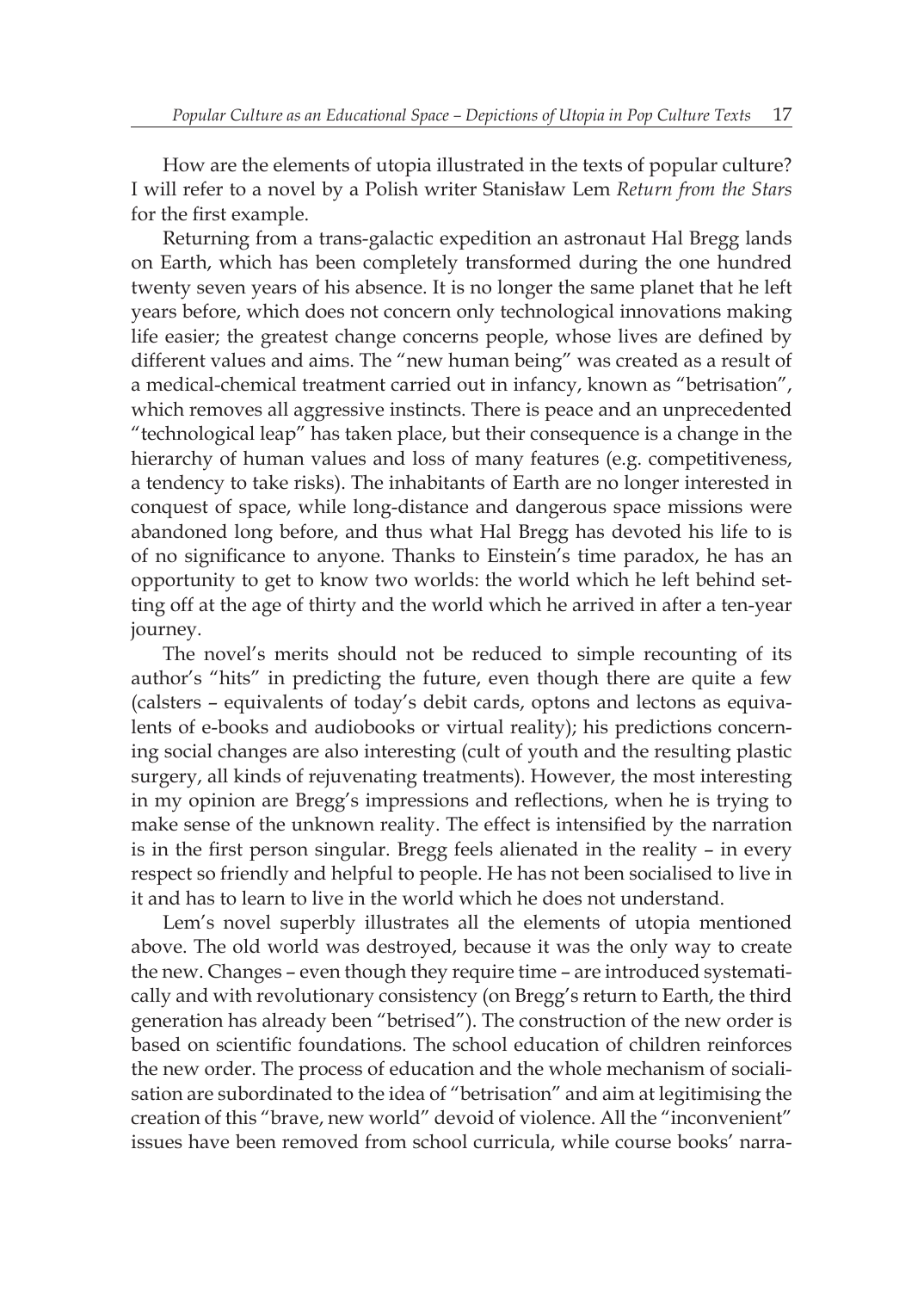How are the elements of utopia illustrated in the texts of popular culture? I will refer to a novel by a Polish writer Stanisław Lem *Return from the Stars* for the first example.

Returning from a trans-galactic expedition an astronaut Hal Bregg lands on Earth, which has been completely transformed during the one hundred twenty seven years of his absence. It is no longer the same planet that he left years before, which does not concern only technological innovations making life easier; the greatest change concerns people, whose lives are defined by different values and aims. The "new human being" was created as a result of a medical-chemical treatment carried out in infancy, known as "betrisation", which removes all aggressive instincts. There is peace and an unprecedented "technological leap" has taken place, but their consequence is a change in the hierarchy of human values and loss of many features (e.g. competitiveness, a tendency to take risks). The inhabitants of Earth are no longer interested in conquest of space, while long-distance and dangerous space missions were abandoned long before, and thus what Hal Bregg has devoted his life to is of no significance to anyone. Thanks to Einstein's time paradox, he has an opportunity to get to know two worlds: the world which he left behind setting off at the age of thirty and the world which he arrived in after a ten-year journey.

The novel's merits should not be reduced to simple recounting of its author's "hits" in predicting the future, even though there are quite a few (calsters – equivalents of today's debit cards, optons and lectons as equivalents of e-books and audiobooks or virtual reality); his predictions concerning social changes are also interesting (cult of youth and the resulting plastic surgery, all kinds of rejuvenating treatments). However, the most interesting in my opinion are Bregg's impressions and reflections, when he is trying to make sense of the unknown reality. The effect is intensified by the narration is in the first person singular. Bregg feels alienated in the reality – in every respect so friendly and helpful to people. He has not been socialised to live in it and has to learn to live in the world which he does not understand.

Lem's novel superbly illustrates all the elements of utopia mentioned above. The old world was destroyed, because it was the only way to create the new. Changes – even though they require time – are introduced systematically and with revolutionary consistency (on Bregg's return to Earth, the third generation has already been "betrised"). The construction of the new order is based on scientific foundations. The school education of children reinforces the new order. The process of education and the whole mechanism of socialisation are subordinated to the idea of "betrisation" and aim at legitimising the creation of this "brave, new world" devoid of violence. All the "inconvenient" issues have been removed from school curricula, while course books' narra-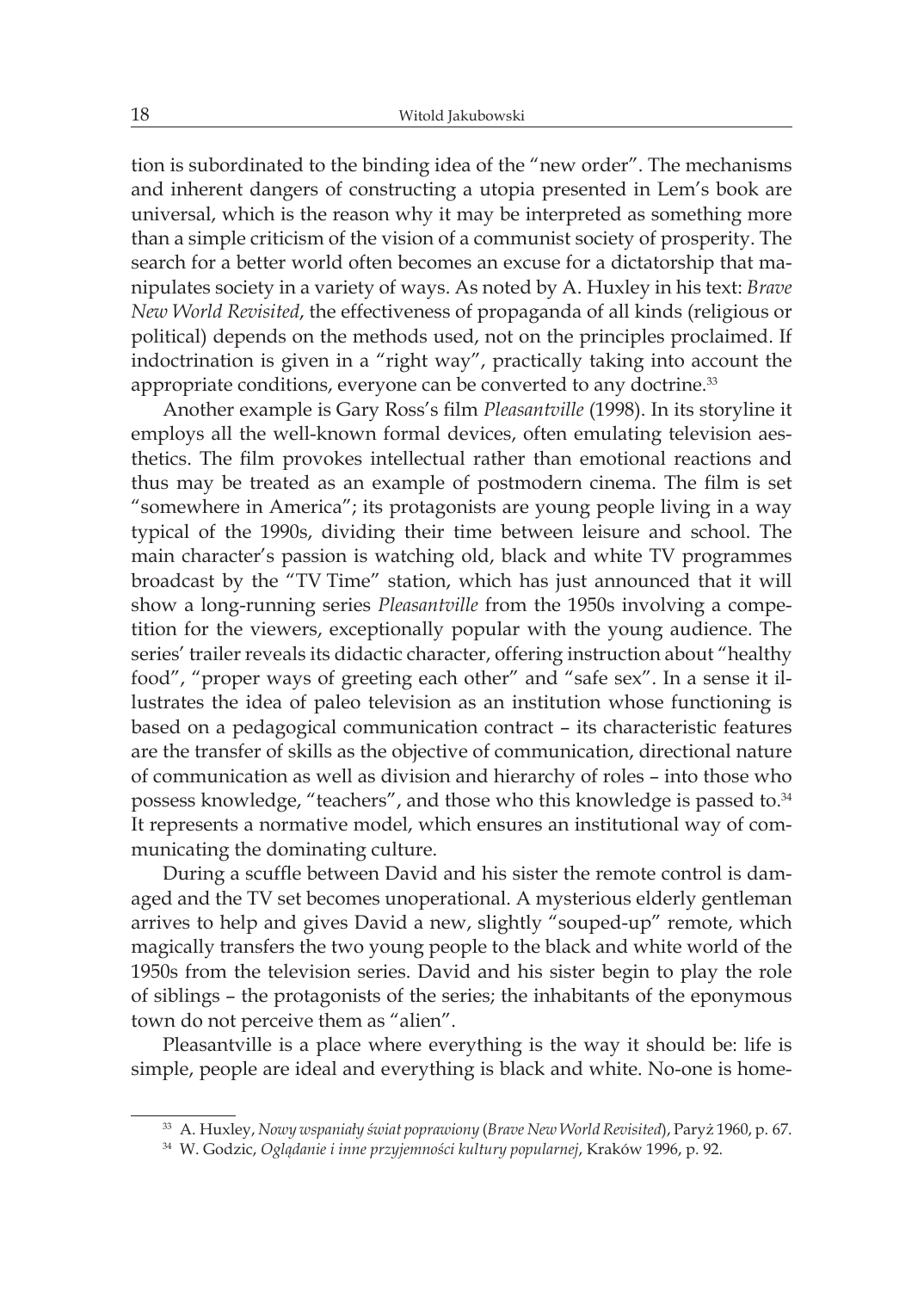tion is subordinated to the binding idea of the "new order". The mechanisms and inherent dangers of constructing a utopia presented in Lem's book are universal, which is the reason why it may be interpreted as something more than a simple criticism of the vision of a communist society of prosperity. The search for a better world often becomes an excuse for a dictatorship that manipulates society in a variety of ways. As noted by A. Huxley in his text: *Brave New World Revisited*, the effectiveness of propaganda of all kinds (religious or political) depends on the methods used, not on the principles proclaimed. If indoctrination is given in a "right way", practically taking into account the appropriate conditions, everyone can be converted to any doctrine.<sup>33</sup>

Another example is Gary Ross's film *Pleasantville* (1998). In its storyline it employs all the well-known formal devices, often emulating television aesthetics. The film provokes intellectual rather than emotional reactions and thus may be treated as an example of postmodern cinema. The film is set "somewhere in America"; its protagonists are young people living in a way typical of the 1990s, dividing their time between leisure and school. The main character's passion is watching old, black and white TV programmes broadcast by the "TV Time" station, which has just announced that it will show a long-running series *Pleasantville* from the 1950s involving a competition for the viewers, exceptionally popular with the young audience. The series' trailer reveals its didactic character, offering instruction about "healthy food", "proper ways of greeting each other" and "safe sex". In a sense it illustrates the idea of paleo television as an institution whose functioning is based on a pedagogical communication contract – its characteristic features are the transfer of skills as the objective of communication, directional nature of communication as well as division and hierarchy of roles – into those who possess knowledge, "teachers", and those who this knowledge is passed to.<sup>34</sup> It represents a normative model, which ensures an institutional way of communicating the dominating culture.

During a scuffle between David and his sister the remote control is damaged and the TV set becomes unoperational. A mysterious elderly gentleman arrives to help and gives David a new, slightly "souped-up" remote, which magically transfers the two young people to the black and white world of the 1950s from the television series. David and his sister begin to play the role of siblings – the protagonists of the series; the inhabitants of the eponymous town do not perceive them as "alien".

Pleasantville is a place where everything is the way it should be: life is simple, people are ideal and everything is black and white. No-one is home-

<sup>33</sup> A. Huxley, *Nowy wspaniały świat poprawiony* (*Brave New World Revisited*), Paryż 1960, p. 67.

<sup>34</sup> W. Godzic, *Oglądanie i inne przyjemności kultury popularnej*, Kraków 1996, p. 92.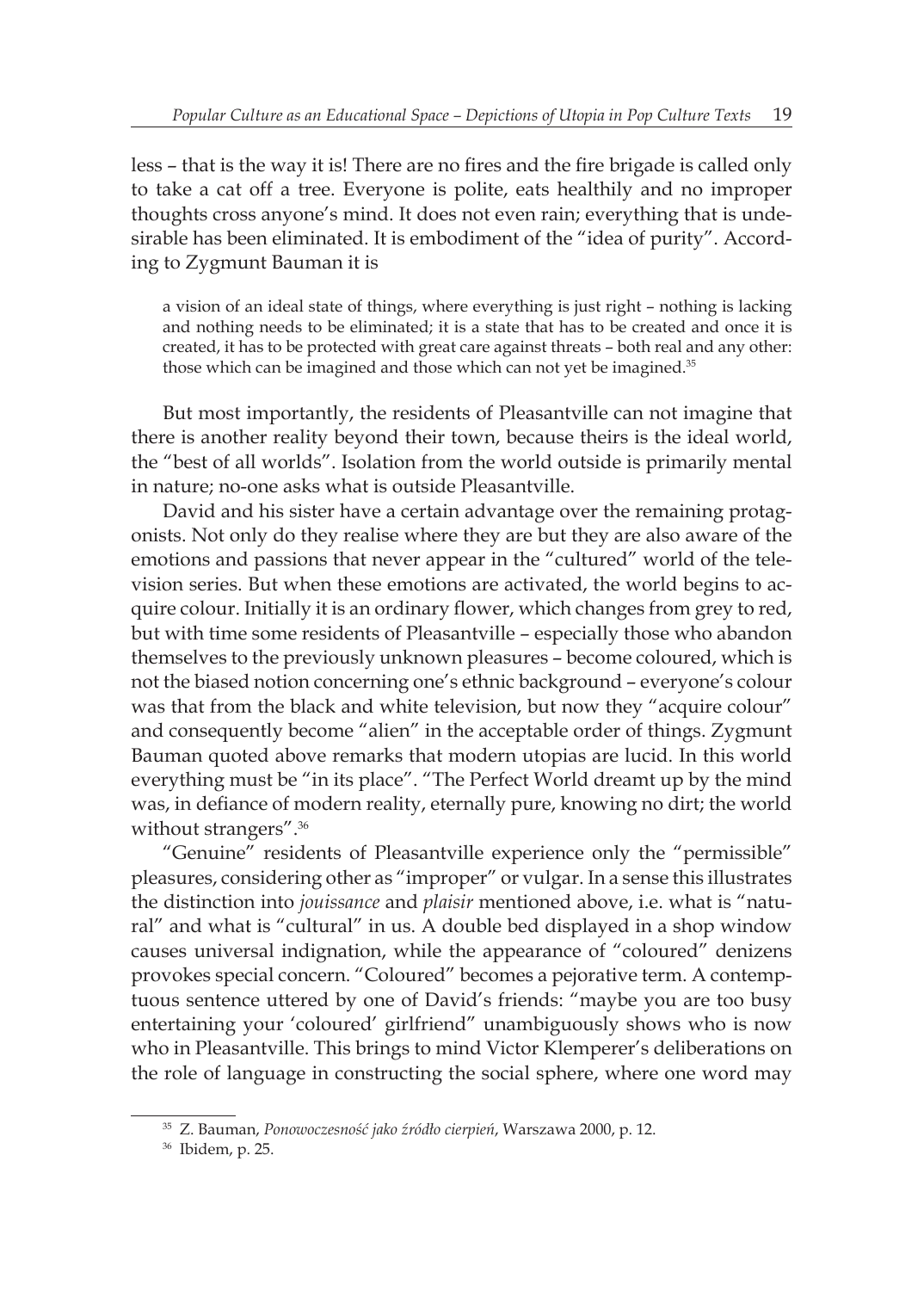less – that is the way it is! There are no fires and the fire brigade is called only to take a cat off a tree. Everyone is polite, eats healthily and no improper thoughts cross anyone's mind. It does not even rain; everything that is undesirable has been eliminated. It is embodiment of the "idea of purity". According to Zygmunt Bauman it is

a vision of an ideal state of things, where everything is just right – nothing is lacking and nothing needs to be eliminated; it is a state that has to be created and once it is created, it has to be protected with great care against threats – both real and any other: those which can be imagined and those which can not yet be imagined.<sup>35</sup>

But most importantly, the residents of Pleasantville can not imagine that there is another reality beyond their town, because theirs is the ideal world, the "best of all worlds". Isolation from the world outside is primarily mental in nature; no-one asks what is outside Pleasantville.

David and his sister have a certain advantage over the remaining protagonists. Not only do they realise where they are but they are also aware of the emotions and passions that never appear in the "cultured" world of the television series. But when these emotions are activated, the world begins to acquire colour. Initially it is an ordinary flower, which changes from grey to red, but with time some residents of Pleasantville – especially those who abandon themselves to the previously unknown pleasures – become coloured, which is not the biased notion concerning one's ethnic background – everyone's colour was that from the black and white television, but now they "acquire colour" and consequently become "alien" in the acceptable order of things. Zygmunt Bauman quoted above remarks that modern utopias are lucid. In this world everything must be "in its place". "The Perfect World dreamt up by the mind was, in defiance of modern reality, eternally pure, knowing no dirt; the world without strangers".<sup>36</sup>

"Genuine" residents of Pleasantville experience only the "permissible" pleasures, considering other as "improper" or vulgar. In a sense this illustrates the distinction into *jouissance* and *plaisir* mentioned above, i.e. what is "natural" and what is "cultural" in us. A double bed displayed in a shop window causes universal indignation, while the appearance of "coloured" denizens provokes special concern. "Coloured" becomes a pejorative term. A contemptuous sentence uttered by one of David's friends: "maybe you are too busy entertaining your 'coloured' girlfriend" unambiguously shows who is now who in Pleasantville. This brings to mind Victor Klemperer's deliberations on the role of language in constructing the social sphere, where one word may

<sup>35</sup> Z. Bauman, *Ponowoczesność jako źródło cierpień*, Warszawa 2000, p. 12.

<sup>36</sup> Ibidem, p. 25.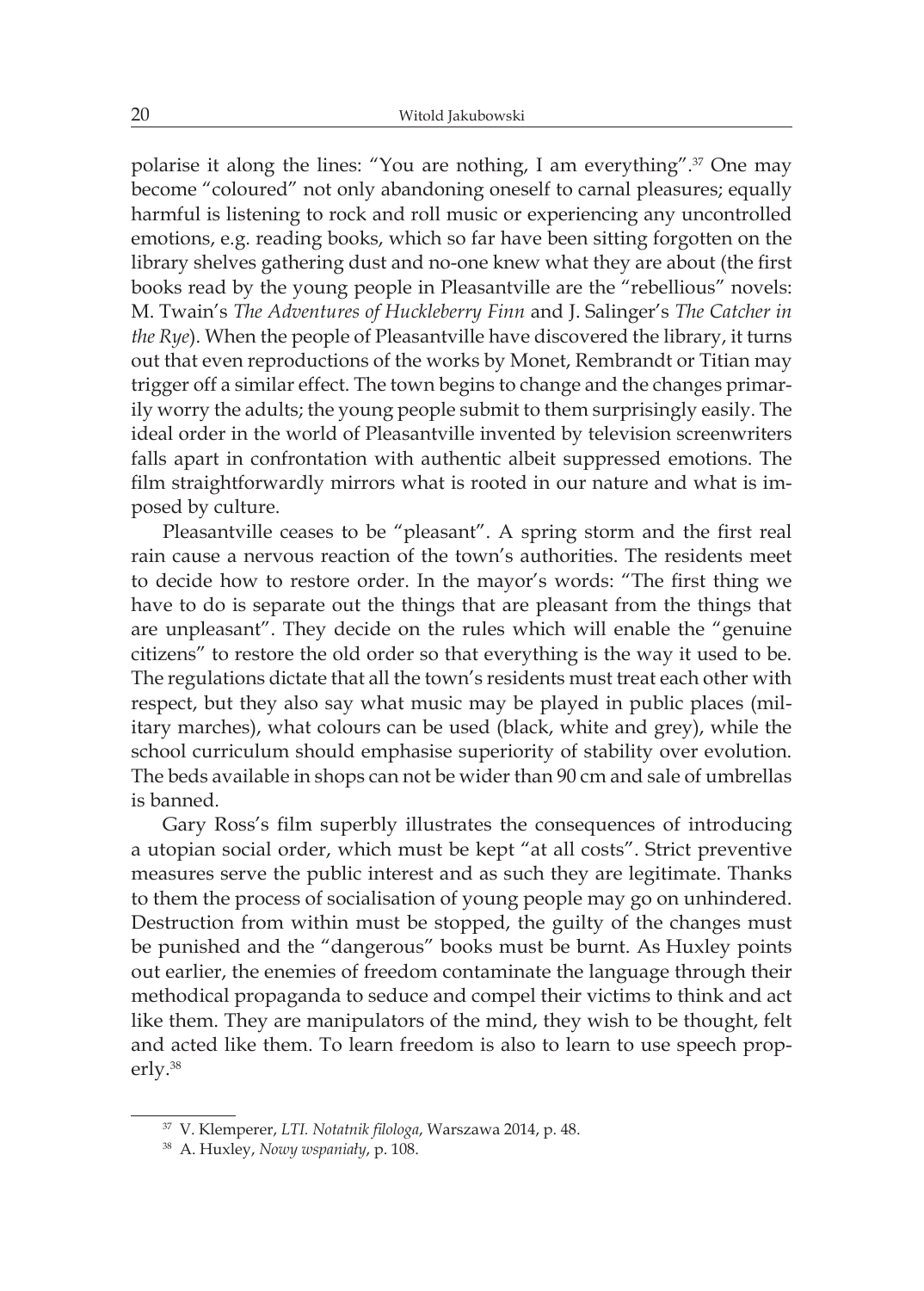polarise it along the lines: "You are nothing, I am everything".37 One may become "coloured" not only abandoning oneself to carnal pleasures; equally harmful is listening to rock and roll music or experiencing any uncontrolled emotions, e.g. reading books, which so far have been sitting forgotten on the library shelves gathering dust and no-one knew what they are about (the first books read by the young people in Pleasantville are the "rebellious" novels: M. Twain's *The Adventures of Huckleberry Finn* and J. Salinger's *The Catcher in the Rye*). When the people of Pleasantville have discovered the library, it turns out that even reproductions of the works by Monet, Rembrandt or Titian may trigger off a similar effect. The town begins to change and the changes primarily worry the adults; the young people submit to them surprisingly easily. The ideal order in the world of Pleasantville invented by television screenwriters falls apart in confrontation with authentic albeit suppressed emotions. The film straightforwardly mirrors what is rooted in our nature and what is imposed by culture.

Pleasantville ceases to be "pleasant". A spring storm and the first real rain cause a nervous reaction of the town's authorities. The residents meet to decide how to restore order. In the mayor's words: "The first thing we have to do is separate out the things that are pleasant from the things that are unpleasant". They decide on the rules which will enable the "genuine citizens" to restore the old order so that everything is the way it used to be. The regulations dictate that all the town's residents must treat each other with respect, but they also say what music may be played in public places (military marches), what colours can be used (black, white and grey), while the school curriculum should emphasise superiority of stability over evolution. The beds available in shops can not be wider than 90 cm and sale of umbrellas is banned.

Gary Ross's film superbly illustrates the consequences of introducing a utopian social order, which must be kept "at all costs". Strict preventive measures serve the public interest and as such they are legitimate. Thanks to them the process of socialisation of young people may go on unhindered. Destruction from within must be stopped, the guilty of the changes must be punished and the "dangerous" books must be burnt. As Huxley points out earlier, the enemies of freedom contaminate the language through their methodical propaganda to seduce and compel their victims to think and act like them. They are manipulators of the mind, they wish to be thought, felt and acted like them. To learn freedom is also to learn to use speech properly.<sup>38</sup>

<sup>37</sup> V. Klemperer, *LTI. Notatnik filologa*, Warszawa 2014, p. 48.

<sup>38</sup> A. Huxley, *Nowy wspaniały*, p. 108.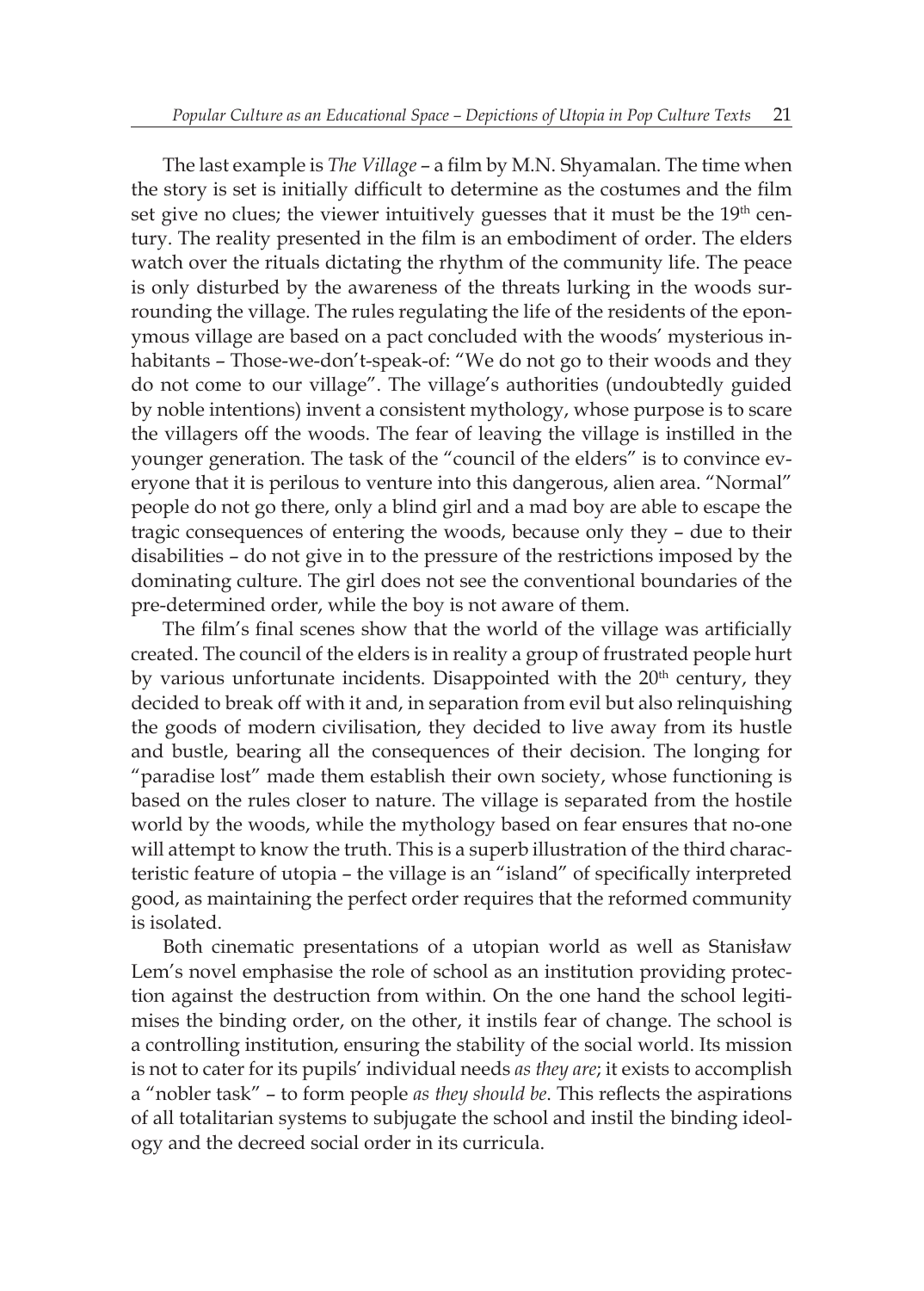The last example is *The Village* – a film by M.N. Shyamalan. The time when the story is set is initially difficult to determine as the costumes and the film set give no clues; the viewer intuitively guesses that it must be the 19<sup>th</sup> century. The reality presented in the film is an embodiment of order. The elders watch over the rituals dictating the rhythm of the community life. The peace is only disturbed by the awareness of the threats lurking in the woods surrounding the village. The rules regulating the life of the residents of the eponymous village are based on a pact concluded with the woods' mysterious inhabitants – Those-we-don't-speak-of: "We do not go to their woods and they do not come to our village". The village's authorities (undoubtedly guided by noble intentions) invent a consistent mythology, whose purpose is to scare the villagers off the woods. The fear of leaving the village is instilled in the younger generation. The task of the "council of the elders" is to convince everyone that it is perilous to venture into this dangerous, alien area. "Normal" people do not go there, only a blind girl and a mad boy are able to escape the tragic consequences of entering the woods, because only they – due to their disabilities – do not give in to the pressure of the restrictions imposed by the dominating culture. The girl does not see the conventional boundaries of the pre-determined order, while the boy is not aware of them.

The film's final scenes show that the world of the village was artificially created. The council of the elders is in reality a group of frustrated people hurt by various unfortunate incidents. Disappointed with the  $20<sup>th</sup>$  century, they decided to break off with it and, in separation from evil but also relinquishing the goods of modern civilisation, they decided to live away from its hustle and bustle, bearing all the consequences of their decision. The longing for "paradise lost" made them establish their own society, whose functioning is based on the rules closer to nature. The village is separated from the hostile world by the woods, while the mythology based on fear ensures that no-one will attempt to know the truth. This is a superb illustration of the third characteristic feature of utopia – the village is an "island" of specifically interpreted good, as maintaining the perfect order requires that the reformed community is isolated.

Both cinematic presentations of a utopian world as well as Stanisław Lem's novel emphasise the role of school as an institution providing protection against the destruction from within. On the one hand the school legitimises the binding order, on the other, it instils fear of change. The school is a controlling institution, ensuring the stability of the social world. Its mission is not to cater for its pupils' individual needs *as they are*; it exists to accomplish a "nobler task" – to form people *as they should be*. This reflects the aspirations of all totalitarian systems to subjugate the school and instil the binding ideology and the decreed social order in its curricula.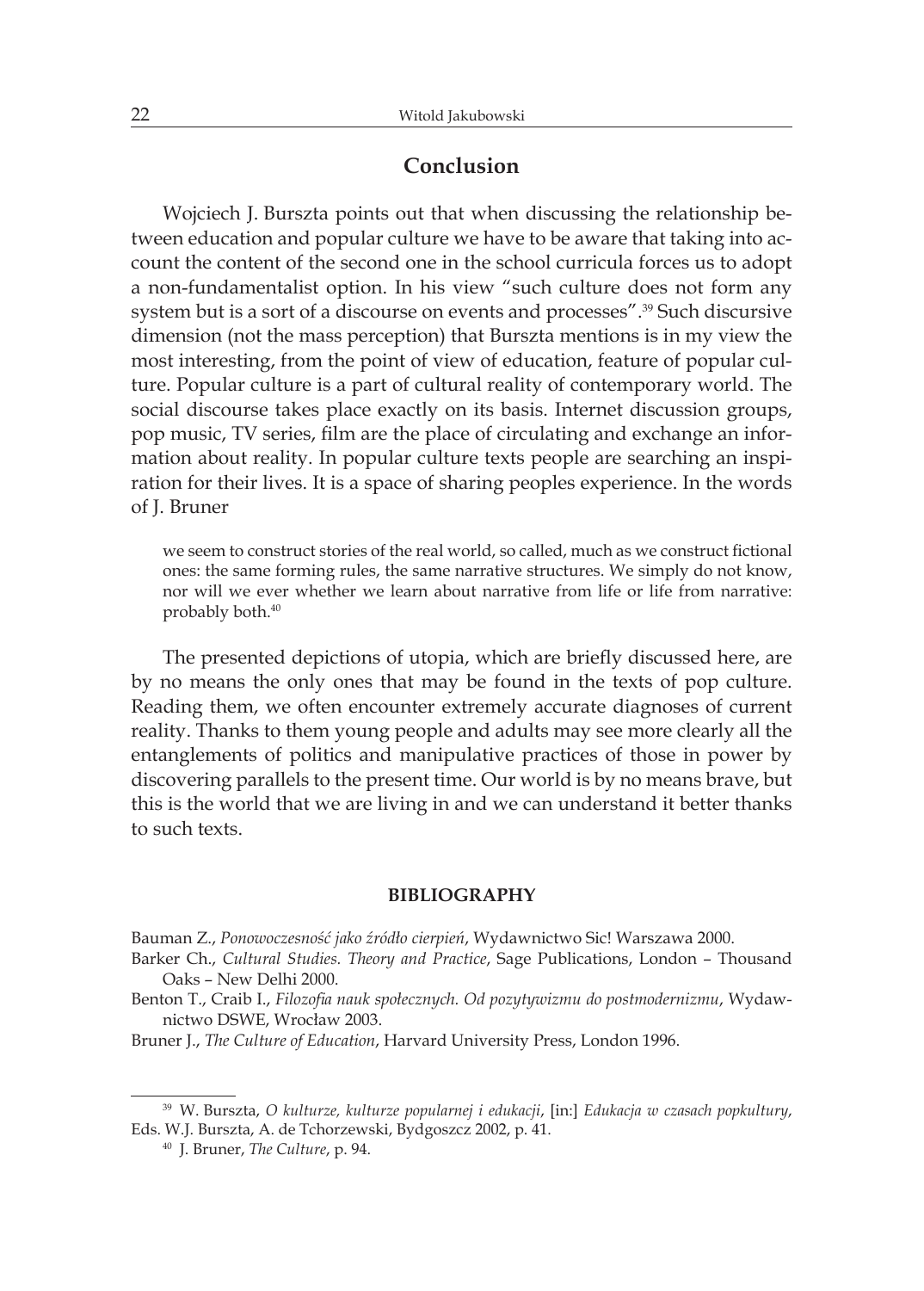### **Conclusion**

Wojciech J. Burszta points out that when discussing the relationship between education and popular culture we have to be aware that taking into account the content of the second one in the school curricula forces us to adopt a non-fundamentalist option. In his view "such culture does not form any system but is a sort of a discourse on events and processes".39 Such discursive dimension (not the mass perception) that Burszta mentions is in my view the most interesting, from the point of view of education, feature of popular culture. Popular culture is a part of cultural reality of contemporary world. The social discourse takes place exactly on its basis. Internet discussion groups, pop music, TV series, film are the place of circulating and exchange an information about reality. In popular culture texts people are searching an inspiration for their lives. It is a space of sharing peoples experience. In the words of J. Bruner

we seem to construct stories of the real world, so called, much as we construct fictional ones: the same forming rules, the same narrative structures. We simply do not know, nor will we ever whether we learn about narrative from life or life from narrative: probably both.<sup>40</sup>

The presented depictions of utopia, which are briefly discussed here, are by no means the only ones that may be found in the texts of pop culture. Reading them, we often encounter extremely accurate diagnoses of current reality. Thanks to them young people and adults may see more clearly all the entanglements of politics and manipulative practices of those in power by discovering parallels to the present time. Our world is by no means brave, but this is the world that we are living in and we can understand it better thanks to such texts.

#### **BIBLIOGRAPHY**

Bauman Z., *Ponowoczesność jako źródło cierpień*, Wydawnictwo Sic! Warszawa 2000.

Barker Ch., *Cultural Studies. Theory and Practice*, Sage Publications, London – Thousand Oaks – New Delhi 2000.

Benton T., Craib I., *Filozofia nauk społecznych. Od pozytywizmu do postmodernizmu*, Wydawnictwo DSWE, Wrocław 2003.

Bruner J., *The Culture of Education*, Harvard University Press, London 1996.

<sup>39</sup> W. Burszta, *O kulturze, kulturze popularnej i edukacji*, [in:] *Edukacja w czasach popkultury*, Eds. W.J. Burszta, A. de Tchorzewski, Bydgoszcz 2002, p. 41.

<sup>40</sup> J. Bruner, *The Culture*, p. 94.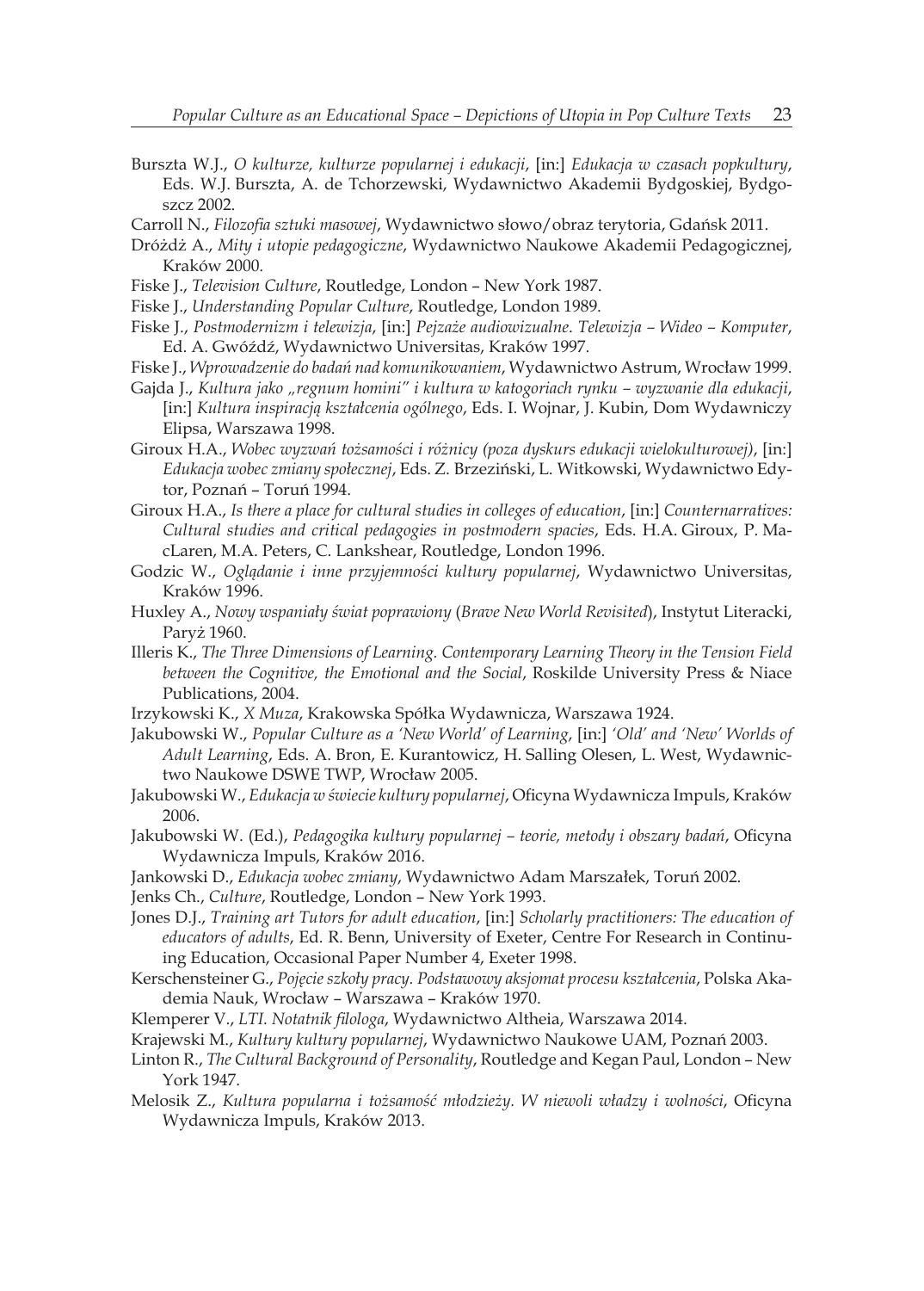- Burszta W.J., *O kulturze, kulturze popularnej i edukacji*, [in:] *Edukacja w czasach popkultury*, Eds. W.J. Burszta, A. de Tchorzewski, Wydawnictwo Akademii Bydgoskiej, Bydgoszcz 2002.
- Carroll N., *Filozofia sztuki masowej*, Wydawnictwo słowo/obraz terytoria, Gdańsk 2011.
- Dróżdż A., *Mity i utopie pedagogiczne*, Wydawnictwo Naukowe Akademii Pedagogicznej, Kraków 2000.
- Fiske J., *Television Culture*, Routledge, London New York 1987.
- Fiske J., *Understanding Popular Culture*, Routledge, London 1989.
- Fiske J., *Postmodernizm i telewizja*, [in:] *Pejzaże audiowizualne*. *Telewizja Wideo Komputer*, Ed. A. Gwóźdź, Wydawnictwo Universitas, Kraków 1997.
- Fiske J., *Wprowadzenie do badań nad komunikowaniem*, Wydawnictwo Astrum, Wrocław 1999.
- Gajda J., *Kultura jako "regnum homini" i kultura w katogoriach rynku wyzwanie dla edukacji*, [in:] *Kultura inspiracją kształcenia ogólnego*, Eds. I. Wojnar, J. Kubin, Dom Wydawniczy Elipsa, Warszawa 1998.
- Giroux H.A., *Wobec wyzwań tożsamości i różnicy (poza dyskurs edukacji wielokulturowej)*, [in:] *Edukacja wobec zmiany społecznej*, Eds. Z. Brzeziński, L. Witkowski, Wydawnictwo Edytor, Poznań – Toruń 1994.
- Giroux H.A., *Is there a place for cultural studies in colleges of education*, [in:] *Counternarratives: Cultural studies and critical pedagogies in postmodern spacies*, Eds. H.A. Giroux, P. MacLaren, M.A. Peters, C. Lankshear, Routledge, London 1996.
- Godzic W., *Oglądanie i inne przyjemności kultury popularnej*, Wydawnictwo Universitas, Kraków 1996.
- Huxley A., *Nowy wspaniały świat poprawiony* (*Brave New World Revisited*), Instytut Literacki, Paryż 1960.
- Illeris K., *The Three Dimensions of Learning. Contemporary Learning Theory in the Tension Field between the Cognitive, the Emotional and the Social*, Roskilde University Press & Niace Publications, 2004.
- Irzykowski K., *X Muza*, Krakowska Spółka Wydawnicza, Warszawa 1924.
- Jakubowski W., *Popular Culture as a 'New World' of Learning*, [in:] *'Old' and 'New' Worlds of Adult Learning*, Eds. A. Bron, E. Kurantowicz, H. Salling Olesen, L. West, Wydawnictwo Naukowe DSWE TWP, Wrocław 2005.
- Jakubowski W., *Edukacja w świecie kultury popularnej*, Oficyna Wydawnicza Impuls, Kraków 2006.
- Jakubowski W. (Ed.), *Pedagogika kultury popularnej teorie, metody i obszary badań*, Oficyna Wydawnicza Impuls, Kraków 2016.
- Jankowski D., *Edukacja wobec zmiany*, Wydawnictwo Adam Marszałek, Toruń 2002.
- Jenks Ch., *Culture*, Routledge, London New York 1993.
- Jones D.J., *Training art Tutors for adult education*, [in:] *Scholarly practitioners: The education of educators of adults*, Ed. R. Benn, University of Exeter, Centre For Research in Continuing Education, Occasional Paper Number 4, Exeter 1998.
- Kerschensteiner G., *Pojęcie szkoły pracy. Podstawowy aksjomat procesu kształcenia*, Polska Akademia Nauk, Wrocław – Warszawa – Kraków 1970.
- Klemperer V., *LTI. Notatnik filologa*, Wydawnictwo Altheia, Warszawa 2014.
- Krajewski M., *Kultury kultury popularnej*, Wydawnictwo Naukowe UAM, Poznań 2003.
- Linton R., *The Cultural Background of Personality*, Routledge and Kegan Paul, London New York 1947.
- Melosik Z., *Kultura popularna i tożsamość młodzieży. W niewoli władzy i wolności*, Oficyna Wydawnicza Impuls, Kraków 2013.